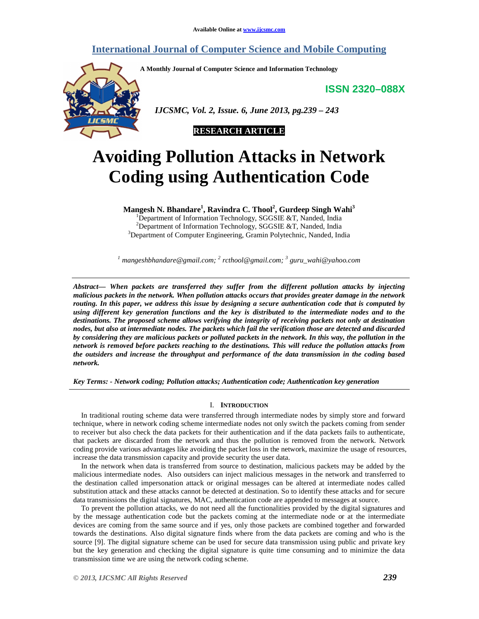# **International Journal of Computer Science and Mobile Computing**

**A Monthly Journal of Computer Science and Information Technology** 

**ISSN 2320–088X**



 *IJCSMC, Vol. 2, Issue. 6, June 2013, pg.239 – 243* 



# **Avoiding Pollution Attacks in Network Coding using Authentication Code**

**Mangesh N. Bhandare<sup>1</sup> , Ravindra C. Thool<sup>2</sup> , Gurdeep Singh Wahi<sup>3</sup>**

<sup>1</sup>Department of Information Technology, SGGSIE &T, Nanded, India <sup>2</sup>Department of Information Technology, SGGSIE & T, Nanded, India <sup>3</sup>Department of Computer Engineering, Gramin Polytechnic, Nanded, India

*1 mangeshbhandare@gmail.com; <sup>2</sup> rcthool@gmail.com; <sup>3</sup> guru\_wahi@yahoo.com* 

*Abstract— When packets are transferred they suffer from the different pollution attacks by injecting malicious packets in the network. When pollution attacks occurs that provides greater damage in the network routing. In this paper, we address this issue by designing a secure authentication code that is computed by using different key generation functions and the key is distributed to the intermediate nodes and to the destinations. The proposed scheme allows verifying the integrity of receiving packets not only at destination nodes, but also at intermediate nodes. The packets which fail the verification those are detected and discarded by considering they are malicious packets or polluted packets in the network. In this way, the pollution in the network is removed before packets reaching to the destinations. This will reduce the pollution attacks from the outsiders and increase the throughput and performance of the data transmission in the coding based network.* 

*Key Terms: - Network coding; Pollution attacks; Authentication code; Authentication key generation* 

# I. **INTRODUCTION**

In traditional routing scheme data were transferred through intermediate nodes by simply store and forward technique, where in network coding scheme intermediate nodes not only switch the packets coming from sender to receiver but also check the data packets for their authentication and if the data packets fails to authenticate, that packets are discarded from the network and thus the pollution is removed from the network. Network coding provide various advantages like avoiding the packet loss in the network, maximize the usage of resources, increase the data transmission capacity and provide security the user data.

In the network when data is transferred from source to destination, malicious packets may be added by the malicious intermediate nodes. Also outsiders can inject malicious messages in the network and transferred to the destination called impersonation attack or original messages can be altered at intermediate nodes called substitution attack and these attacks cannot be detected at destination. So to identify these attacks and for secure data transmissions the digital signatures, MAC, authentication code are appended to messages at source.

To prevent the pollution attacks, we do not need all the functionalities provided by the digital signatures and by the message authentication code but the packets coming at the intermediate node or at the intermediate devices are coming from the same source and if yes, only those packets are combined together and forwarded towards the destinations. Also digital signature finds where from the data packets are coming and who is the source [9]. The digital signature scheme can be used for secure data transmission using public and private key but the key generation and checking the digital signature is quite time consuming and to minimize the data transmission time we are using the network coding scheme.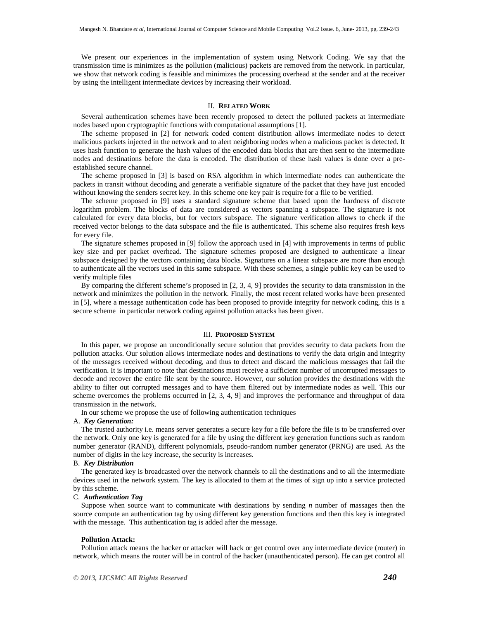We present our experiences in the implementation of system using Network Coding. We say that the transmission time is minimizes as the pollution (malicious) packets are removed from the network. In particular, we show that network coding is feasible and minimizes the processing overhead at the sender and at the receiver by using the intelligent intermediate devices by increasing their workload.

#### II. **RELATED WORK**

Several authentication schemes have been recently proposed to detect the polluted packets at intermediate nodes based upon cryptographic functions with computational assumptions [1].

The scheme proposed in [2] for network coded content distribution allows intermediate nodes to detect malicious packets injected in the network and to alert neighboring nodes when a malicious packet is detected. It uses hash function to generate the hash values of the encoded data blocks that are then sent to the intermediate nodes and destinations before the data is encoded. The distribution of these hash values is done over a preestablished secure channel.

The scheme proposed in [3] is based on RSA algorithm in which intermediate nodes can authenticate the packets in transit without decoding and generate a verifiable signature of the packet that they have just encoded without knowing the senders secret key. In this scheme one key pair is require for a file to be verified.

The scheme proposed in [9] uses a standard signature scheme that based upon the hardness of discrete logarithm problem. The blocks of data are considered as vectors spanning a subspace. The signature is not calculated for every data blocks, but for vectors subspace. The signature verification allows to check if the received vector belongs to the data subspace and the file is authenticated. This scheme also requires fresh keys for every file.

The signature schemes proposed in [9] follow the approach used in [4] with improvements in terms of public key size and per packet overhead. The signature schemes proposed are designed to authenticate a linear subspace designed by the vectors containing data blocks. Signatures on a linear subspace are more than enough to authenticate all the vectors used in this same subspace. With these schemes, a single public key can be used to verify multiple files

By comparing the different scheme's proposed in [2, 3, 4, 9] provides the security to data transmission in the network and minimizes the pollution in the network. Finally, the most recent related works have been presented in [5], where a message authentication code has been proposed to provide integrity for network coding, this is a secure scheme in particular network coding against pollution attacks has been given.

#### III. **PROPOSED SYSTEM**

In this paper, we propose an unconditionally secure solution that provides security to data packets from the pollution attacks. Our solution allows intermediate nodes and destinations to verify the data origin and integrity of the messages received without decoding, and thus to detect and discard the malicious messages that fail the verification. It is important to note that destinations must receive a sufficient number of uncorrupted messages to decode and recover the entire file sent by the source. However, our solution provides the destinations with the ability to filter out corrupted messages and to have them filtered out by intermediate nodes as well. This our scheme overcomes the problems occurred in [2, 3, 4, 9] and improves the performance and throughput of data transmission in the network.

In our scheme we propose the use of following authentication techniques

# A. *Key Generation:*

The trusted authority i.e. means server generates a secure key for a file before the file is to be transferred over the network. Only one key is generated for a file by using the different key generation functions such as random number generator (RAND), different polynomials, pseudo-random number generator (PRNG) are used. As the number of digits in the key increase, the security is increases.

#### B. *Key Distribution*

The generated key is broadcasted over the network channels to all the destinations and to all the intermediate devices used in the network system. The key is allocated to them at the times of sign up into a service protected by this scheme.

#### C. *Authentication Tag*

Suppose when source want to communicate with destinations by sending *n* number of massages then the source compute an authentication tag by using different key generation functions and then this key is integrated with the message. This authentication tag is added after the message.

#### **Pollution Attack:**

Pollution attack means the hacker or attacker will hack or get control over any intermediate device (router) in network, which means the router will be in control of the hacker (unauthenticated person). He can get control all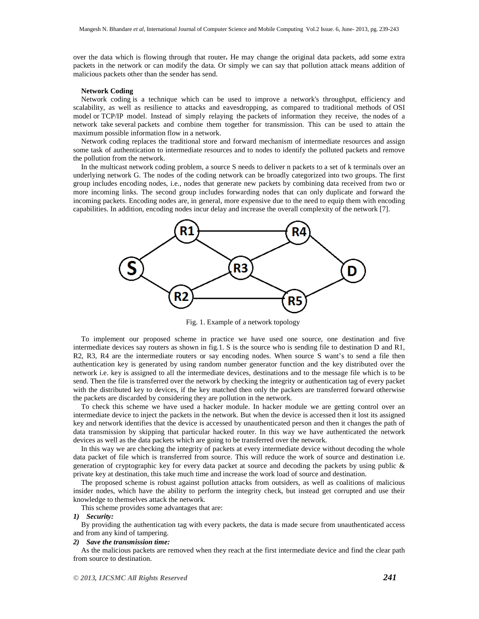over the data which is flowing through that router**.** He may change the original data packets, add some extra packets in the network or can modify the data. Or simply we can say that pollution attack means addition of malicious packets other than the sender has send.

## **Network Coding**

Network coding is a technique which can be used to improve a network's throughput, efficiency and scalability, as well as resilience to attacks and eavesdropping, as compared to traditional methods of OSI model or TCP/IP model. Instead of simply relaying the packets of information they receive, the nodes of a network take several packets and combine them together for transmission. This can be used to attain the maximum possible information flow in a network.

Network coding replaces the traditional store and forward mechanism of intermediate resources and assign some task of authentication to intermediate resources and to nodes to identify the polluted packets and remove the pollution from the network.

In the multicast network coding problem, a source S needs to deliver n packets to a set of k terminals over an underlying network G. The nodes of the coding network can be broadly categorized into two groups. The first group includes encoding nodes, i.e., nodes that generate new packets by combining data received from two or more incoming links. The second group includes forwarding nodes that can only duplicate and forward the incoming packets. Encoding nodes are, in general, more expensive due to the need to equip them with encoding capabilities. In addition, encoding nodes incur delay and increase the overall complexity of the network [7].



Fig. 1. Example of a network topology

To implement our proposed scheme in practice we have used one source, one destination and five intermediate devices say routers as shown in fig.1. S is the source who is sending file to destination D and R1, R2, R3, R4 are the intermediate routers or say encoding nodes. When source S want's to send a file then authentication key is generated by using random number generator function and the key distributed over the network i.e. key is assigned to all the intermediate devices, destinations and to the message file which is to be send. Then the file is transferred over the network by checking the integrity or authentication tag of every packet with the distributed key to devices, if the key matched then only the packets are transferred forward otherwise the packets are discarded by considering they are pollution in the network.

To check this scheme we have used a hacker module. In hacker module we are getting control over an intermediate device to inject the packets in the network. But when the device is accessed then it lost its assigned key and network identifies that the device is accessed by unauthenticated person and then it changes the path of data transmission by skipping that particular hacked router. In this way we have authenticated the network devices as well as the data packets which are going to be transferred over the network.

In this way we are checking the integrity of packets at every intermediate device without decoding the whole data packet of file which is transferred from source. This will reduce the work of source and destination i.e. generation of cryptographic key for every data packet at source and decoding the packets by using public & private key at destination, this take much time and increase the work load of source and destination.

The proposed scheme is robust against pollution attacks from outsiders, as well as coalitions of malicious insider nodes, which have the ability to perform the integrity check, but instead get corrupted and use their knowledge to themselves attack the network.

This scheme provides some advantages that are:

*1) Security:* 

By providing the authentication tag with every packets, the data is made secure from unauthenticated access and from any kind of tampering.

## *2) Save the transmission time:*

As the malicious packets are removed when they reach at the first intermediate device and find the clear path from source to destination.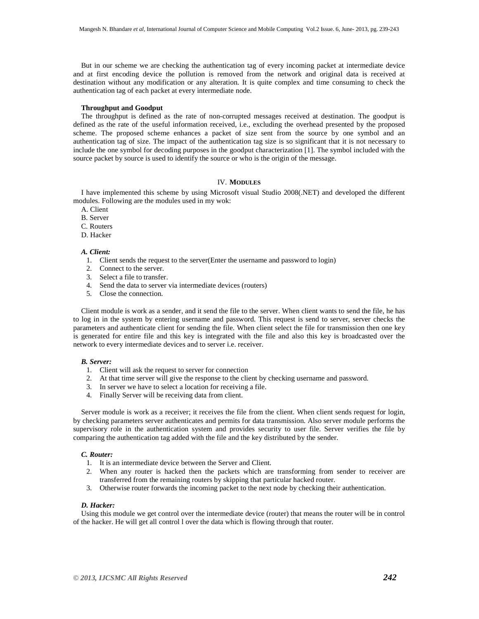But in our scheme we are checking the authentication tag of every incoming packet at intermediate device and at first encoding device the pollution is removed from the network and original data is received at destination without any modification or any alteration. It is quite complex and time consuming to check the authentication tag of each packet at every intermediate node.

#### **Throughput and Goodput**

The throughput is defined as the rate of non-corrupted messages received at destination. The goodput is defined as the rate of the useful information received, i.e., excluding the overhead presented by the proposed scheme. The proposed scheme enhances a packet of size sent from the source by one symbol and an authentication tag of size. The impact of the authentication tag size is so significant that it is not necessary to include the one symbol for decoding purposes in the goodput characterization [1]. The symbol included with the source packet by source is used to identify the source or who is the origin of the message.

# IV. **MODULES**

I have implemented this scheme by using Microsoft visual Studio 2008(.NET) and developed the different modules. Following are the modules used in my wok:

- A. Client
- B. Server
- C. Routers
- D. Hacker

#### *A. Client:*

- 1. Client sends the request to the server(Enter the username and password to login)
- 2. Connect to the server.
- 3. Select a file to transfer.
- 4. Send the data to server via intermediate devices (routers)
- 5. Close the connection.

Client module is work as a sender, and it send the file to the server. When client wants to send the file, he has to log in in the system by entering username and password. This request is send to server, server checks the parameters and authenticate client for sending the file. When client select the file for transmission then one key is generated for entire file and this key is integrated with the file and also this key is broadcasted over the network to every intermediate devices and to server i.e. receiver.

#### *B. Server:*

- 1. Client will ask the request to server for connection
- 2. At that time server will give the response to the client by checking username and password.
- 3. In server we have to select a location for receiving a file.
- 4. Finally Server will be receiving data from client.

Server module is work as a receiver; it receives the file from the client. When client sends request for login, by checking parameters server authenticates and permits for data transmission. Also server module performs the supervisory role in the authentication system and provides security to user file. Server verifies the file by comparing the authentication tag added with the file and the key distributed by the sender.

#### *C. Router:*

- 1. It is an intermediate device between the Server and Client.
- 2. When any router is hacked then the packets which are transforming from sender to receiver are transferred from the remaining routers by skipping that particular hacked router.
- 3. Otherwise router forwards the incoming packet to the next node by checking their authentication.

#### *D. Hacker:*

Using this module we get control over the intermediate device (router) that means the router will be in control of the hacker. He will get all control l over the data which is flowing through that router.